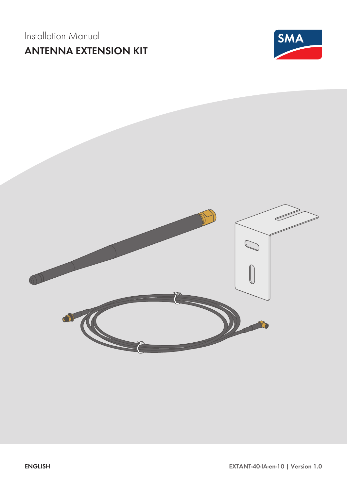# Installation Manual **ANTENNA EXTENSION KIT**



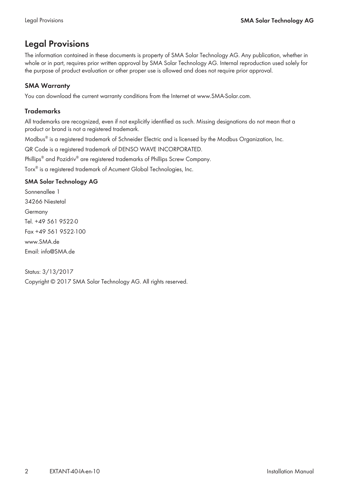# **Legal Provisions**

The information contained in these documents is property of SMA Solar Technology AG. Any publication, whether in whole or in part, requires prior written approval by SMA Solar Technology AG. Internal reproduction used solely for the purpose of product evaluation or other proper use is allowed and does not require prior approval.

## **SMA Warranty**

You can download the current warranty conditions from the Internet at [www.SMA-Solar.com.](http://www.SMA-Solar.com)

## **Trademarks**

All trademarks are recognized, even if not explicitly identified as such. Missing designations do not mean that a product or brand is not a registered trademark.

Modbus® is a registered trademark of Schneider Electric and is licensed by the Modbus Organization, Inc.

QR Code is a registered trademark of DENSO WAVE INCORPORATED.

Phillips® and Pozidriv® are registered trademarks of Phillips Screw Company.

Torx® is a registered trademark of Acument Global Technologies, Inc.

## **SMA Solar Technology AG**

Sonnenallee 1 34266 Niestetal Germany Tel. +49 561 9522-0 Fax +49 561 9522-100 www.SMA.de Email: info@SMA.de

Status: 3/13/2017 Copyright © 2017 SMA Solar Technology AG. All rights reserved.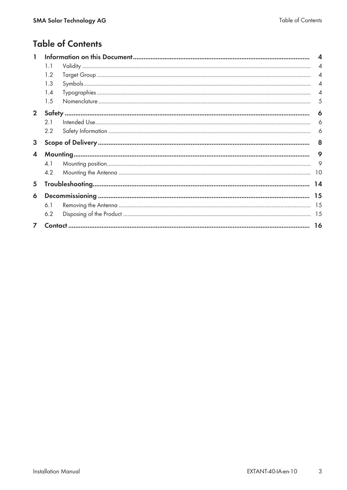# **Table of Contents**

| I.             |     |  | 4              |
|----------------|-----|--|----------------|
|                | 1.1 |  | $\overline{4}$ |
|                | 1.2 |  | $\overline{4}$ |
|                | 1.3 |  | $\overline{4}$ |
|                | 1.4 |  | $\overline{4}$ |
|                | 1.5 |  | 5              |
| 2 <sup>1</sup> |     |  | 6              |
|                | 2.1 |  | 6              |
|                | 2.2 |  | 6              |
| 3              |     |  | 8              |
| 4              |     |  |                |
|                | 4.1 |  | 9              |
|                | 4.2 |  | 10             |
| 5              |     |  | 14             |
| 6              |     |  | 15             |
|                | 6.1 |  | 15             |
|                | 6.2 |  | 15             |
| $\overline{ }$ |     |  | 16             |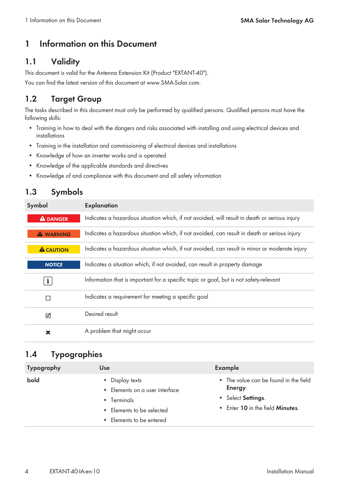# **1 Information on this Document**

# **1.1 Validity**

This document is valid for the Antenna Extension Kit (Product "EXTANT-40").

You can find the latest version of this document at [www.SMA-Solar.com](http://www.SMA-Solar.com).

# **1.2 Target Group**

The tasks described in this document must only be performed by qualified persons. Qualified persons must have the following skills:

- Training in how to deal with the dangers and risks associated with installing and using electrical devices and installations
- Training in the installation and commissioning of electrical devices and installations
- Knowledge of how an inverter works and is operated
- Knowledge of the applicable standards and directives
- Knowledge of and compliance with this document and all safety information

# **1.3 Symbols**

| Symbol           | <b>Explanation</b>                                                                            |  |  |
|------------------|-----------------------------------------------------------------------------------------------|--|--|
| <b>A DANGER</b>  | Indicates a hazardous situation which, if not avoided, will result in death or serious injury |  |  |
| <b>A WARNING</b> | Indicates a hazardous situation which, if not avoided, can result in death or serious injury  |  |  |
| <b>A</b> CAUTION | Indicates a hazardous situation which, if not avoided, can result in minor or moderate injury |  |  |
| <b>NOTICE</b>    | Indicates a situation which, if not avoided, can result in property damage                    |  |  |
| $\mathbf{i}$     | Information that is important for a specific topic or goal, but is not safety-relevant        |  |  |
| П                | Indicates a requirement for meeting a specific goal                                           |  |  |
| ☑                | Desired result                                                                                |  |  |
| ×                | A problem that might occur                                                                    |  |  |

# **1.4 Typographies**

| <b>Typography</b> | Use                                                                                                                       | Example                                                                                                            |
|-------------------|---------------------------------------------------------------------------------------------------------------------------|--------------------------------------------------------------------------------------------------------------------|
| bold              | • Display texts<br>• Elements on a user interface<br>• Terminals<br>• Elements to be selected<br>• Elements to be entered | • The value can be found in the field<br>Energy.<br>• Select Settings.<br>• Enter 10 in the field <b>Minutes</b> . |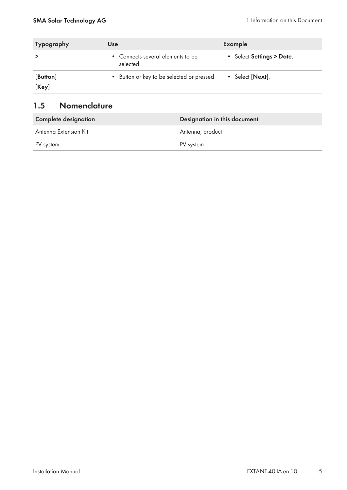| <b>Typography</b> | Use                                           | Example                   |
|-------------------|-----------------------------------------------|---------------------------|
|                   | • Connects several elements to be<br>selected | • Select Settings > Date. |
| [Button]<br>[Key] | • Button or key to be selected or pressed     | Select [Next].            |

# **1.5 Nomenclature**

| <b>Complete designation</b> | Designation in this document |  |  |
|-----------------------------|------------------------------|--|--|
| Antenna Extension Kit       | Antenna, product             |  |  |
| PV system                   | PV system                    |  |  |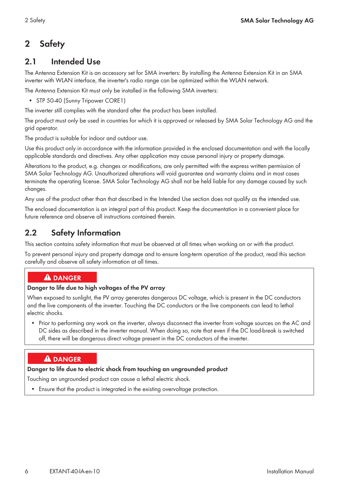# **2 Safety**

## **2.1 Intended Use**

The Antenna Extension Kit is an accessory set for SMA inverters: By installing the Antenna Extension Kit in an SMA inverter with WLAN interface, the inverter's radio range can be optimized within the WLAN network.

The Antenna Extension Kit must only be installed in the following SMA inverters:

• STP 50-40 (Sunny Tripower CORE1)

The inverter still complies with the standard after the product has been installed.

The product must only be used in countries for which it is approved or released by SMA Solar Technology AG and the grid operator.

The product is suitable for indoor and outdoor use.

Use this product only in accordance with the information provided in the enclosed documentation and with the locally applicable standards and directives. Any other application may cause personal injury or property damage.

Alterations to the product, e.g. changes or modifications, are only permitted with the express written permission of SMA Solar Technology AG. Unauthorized alterations will void guarantee and warranty claims and in most cases terminate the operating license. SMA Solar Technology AG shall not be held liable for any damage caused by such changes.

Any use of the product other than that described in the Intended Use section does not qualify as the intended use.

The enclosed documentation is an integral part of this product. Keep the documentation in a convenient place for future reference and observe all instructions contained therein.

## **2.2 Safety Information**

This section contains safety information that must be observed at all times when working on or with the product.

To prevent personal injury and property damage and to ensure long-term operation of the product, read this section carefully and observe all safety information at all times.

## **A DANGER**

## **Danger to life due to high voltages of the PV array**

When exposed to sunlight, the PV array generates dangerous DC voltage, which is present in the DC conductors and the live components of the inverter. Touching the DC conductors or the live components can lead to lethal electric shocks.

• Prior to performing any work on the inverter, always disconnect the inverter from voltage sources on the AC and DC sides as described in the inverter manual. When doing so, note that even if the DC load-break is switched off, there will be dangerous direct voltage present in the DC conductors of the inverter.

## **A DANGER**

## **Danger to life due to electric shock from touching an ungrounded product**

Touching an ungrounded product can cause a lethal electric shock.

• Ensure that the product is integrated in the existing overvoltage protection.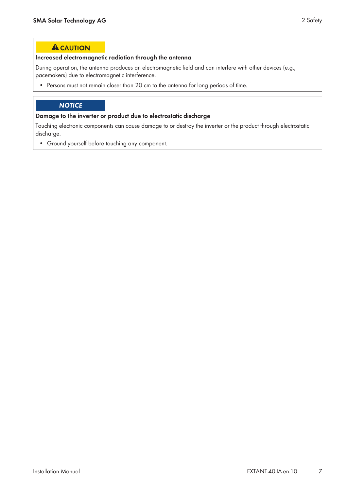## **A** CAUTION

#### **Increased electromagnetic radiation through the antenna**

During operation, the antenna produces an electromagnetic field and can interfere with other devices (e.g., pacemakers) due to electromagnetic interference.

• Persons must not remain closer than 20 cm to the antenna for long periods of time.

## **NOTICE**

#### **Damage to the inverter or product due to electrostatic discharge**

Touching electronic components can cause damage to or destroy the inverter or the product through electrostatic discharge.

• Ground yourself before touching any component.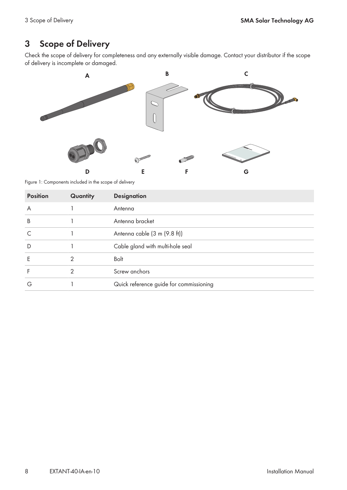# **3 Scope of Delivery**

Check the scope of delivery for completeness and any externally visible damage. Contact your distributor if the scope of delivery is incomplete or damaged.



Figure 1: Components included in the scope of delivery

| <b>Position</b> | Quantity | <b>Designation</b>                      |
|-----------------|----------|-----------------------------------------|
| A               |          | Antenna                                 |
| B               |          | Antenna bracket                         |
|                 |          | Antenna cable (3 m (9.8 ft))            |
| D               |          | Cable gland with multi-hole seal        |
| F               | 2        | Bolt                                    |
|                 | ≘        | Screw anchors                           |
| G               |          | Quick reference guide for commissioning |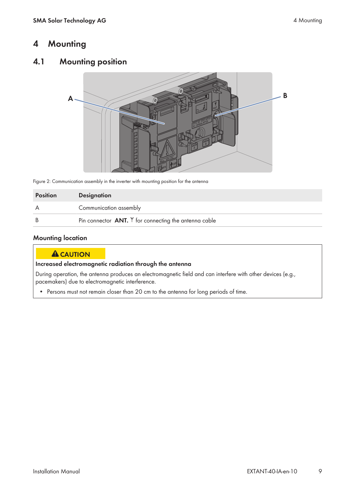# **4 Mounting**

## **4.1 Mounting position**



Figure 2: Communication assembly in the inverter with mounting position for the antenna

| <b>Position</b> | <b>Designation</b>                                        |
|-----------------|-----------------------------------------------------------|
|                 | Communication assembly                                    |
|                 | Pin connector $ANT.$ $Y$ for connecting the antenna cable |

### **Mounting location**

#### **A**CAUTION

**Increased electromagnetic radiation through the antenna**

During operation, the antenna produces an electromagnetic field and can interfere with other devices (e.g., pacemakers) due to electromagnetic interference.

• Persons must not remain closer than 20 cm to the antenna for long periods of time.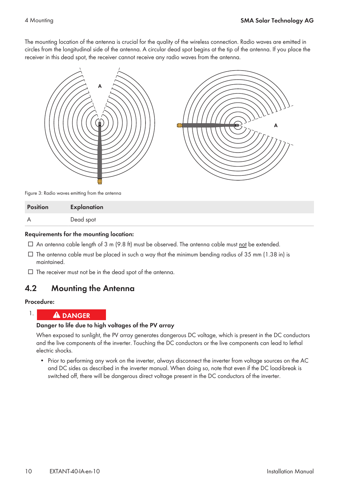The mounting location of the antenna is crucial for the quality of the wireless connection. Radio waves are emitted in circles from the longitudinal side of the antenna. A circular dead spot begins at the tip of the antenna. If you place the receiver in this dead spot, the receiver cannot receive any radio waves from the antenna.



Figure 3: Radio waves emitting from the antenna

| Position | Explanation |
|----------|-------------|
| A        | Dead spot   |

#### **Requirements for the mounting location:**

- $\Box$  An antenna cable length of 3 m (9.8 ft) must be observed. The antenna cable must not be extended.
- $\Box$  The antenna cable must be placed in such a way that the minimum bending radius of 35 mm (1.38 in) is maintained.
- $\Box$  The receiver must not be in the dead spot of the antenna.

## **4.2 Mounting the Antenna**

#### **Procedure:**

#### 1. **A DANGER**

#### **Danger to life due to high voltages of the PV array**

When exposed to sunlight, the PV array generates dangerous DC voltage, which is present in the DC conductors and the live components of the inverter. Touching the DC conductors or the live components can lead to lethal electric shocks.

• Prior to performing any work on the inverter, always disconnect the inverter from voltage sources on the AC and DC sides as described in the inverter manual. When doing so, note that even if the DC load-break is switched off, there will be dangerous direct voltage present in the DC conductors of the inverter.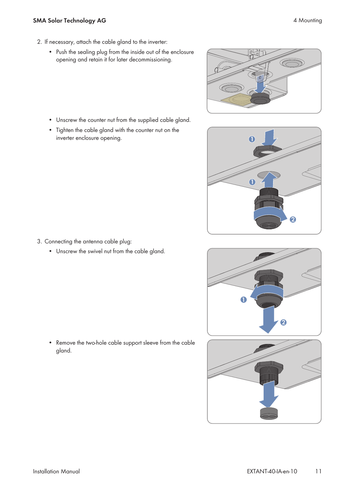#### **SMA Solar Technology AG** 4 Mounting

- 2. If necessary, attach the cable gland to the inverter:
	- Push the sealing plug from the inside out of the enclosure opening and retain it for later decommissioning.

• Unscrew the counter nut from the supplied cable gland.

• Tighten the cable gland with the counter nut on the



- **1 2 1**
- 3. Connecting the antenna cable plug: • Unscrew the swivel nut from the cable gland.

inverter enclosure opening.

• Remove the two-hole cable support sleeve from the cable gland.



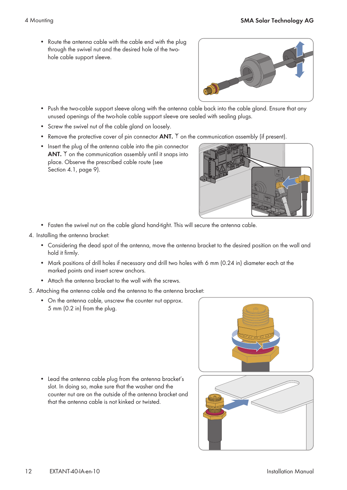• Route the antenna cable with the cable end with the plug through the swivel nut and the desired hole of the twohole cable support sleeve.



- Push the two-cable support sleeve along with the antenna cable back into the cable gland. Ensure that any unused openings of the two-hole cable support sleeve are sealed with sealing plugs.
- Screw the swivel nut of the cable gland on loosely.
- Remove the protective cover of pin connector **ANT.** Y on the communication assembly (if present).
- Insert the plug of the antenna cable into the pin connector **ANT.**  $Y$  on the communication assembly until it snaps into place. Observe the prescribed cable route (see Section 4.1, page 9).



- Fasten the swivel nut on the cable gland hand-tight. This will secure the antenna cable.
- 4. Installing the antenna bracket:
	- Considering the dead spot of the antenna, move the antenna bracket to the desired position on the wall and hold it firmly.
	- Mark positions of drill holes if necessary and drill two holes with 6 mm (0.24 in) diameter each at the marked points and insert screw anchors.
	- Attach the antenna bracket to the wall with the screws.
- 5. Attaching the antenna cable and the antenna to the antenna bracket:
	- On the antenna cable, unscrew the counter nut approx. 5 mm (0.2 in) from the plug.

• Lead the antenna cable plug from the antenna bracket's slot. In doing so, make sure that the washer and the counter nut are on the outside of the antenna bracket and that the antenna cable is not kinked or twisted.



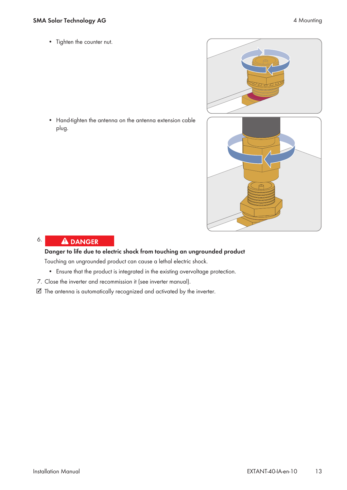• Hand-tighten the antenna on the antenna extension cable plug.



#### 6. **A DANGER**

## **Danger to life due to electric shock from touching an ungrounded product**

Touching an ungrounded product can cause a lethal electric shock.

- Ensure that the product is integrated in the existing overvoltage protection.
- 7. Close the inverter and recommission it (see inverter manual).
- ☑ The antenna is automatically recognized and activated by the inverter.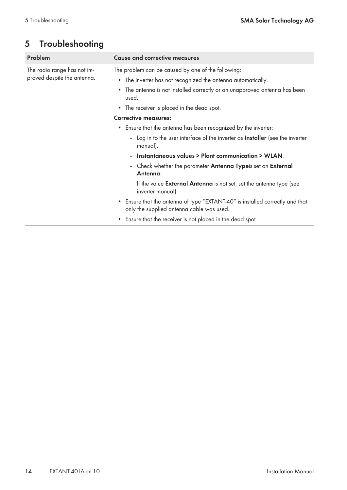# **5 Troubleshooting**

| Problem                                                    | <b>Cause and corrective measures</b>                                                                                                                                                                                 |  |  |
|------------------------------------------------------------|----------------------------------------------------------------------------------------------------------------------------------------------------------------------------------------------------------------------|--|--|
| The radio range has not im-<br>proved despite the antenna. | The problem can be caused by one of the following:<br>• The inverter has not recognized the antenna automatically.<br>The antenna is not installed correctly or an unapproved antenna has been<br>$\bullet$<br>used. |  |  |
|                                                            | • The receiver is placed in the dead spot.                                                                                                                                                                           |  |  |
|                                                            | <b>Corrective measures:</b>                                                                                                                                                                                          |  |  |
|                                                            | Ensure that the antenna has been recognized by the inverter:<br>$\bullet$                                                                                                                                            |  |  |
|                                                            | - Log in to the user interface of the inverter as <b>Installer</b> (see the inverter<br>manual).                                                                                                                     |  |  |
|                                                            | - Instantaneous values > Plant communication > WLAN.                                                                                                                                                                 |  |  |
|                                                            | - Check whether the parameter <b>Antenna Type</b> is set on <b>External</b><br>Antenna.                                                                                                                              |  |  |
|                                                            | If the value <b>External Antenna</b> is not set, set the antenna type (see<br>inverter manual).                                                                                                                      |  |  |
|                                                            | • Ensure that the antenna of type "EXTANT-40" is installed correctly and that<br>only the supplied antenna cable was used.                                                                                           |  |  |
|                                                            | • Ensure that the receiver is not placed in the dead spot.                                                                                                                                                           |  |  |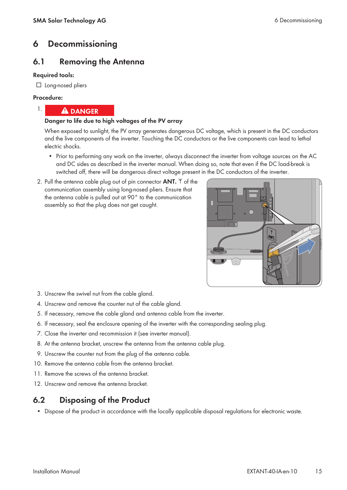# **6 Decommissioning**

## **6.1 Removing the Antenna**

#### **Required tools:**

□ Long-nosed pliers

#### **Procedure:**

1.



## **Danger to life due to high voltages of the PV array**

When exposed to sunlight, the PV array generates dangerous DC voltage, which is present in the DC conductors and the live components of the inverter. Touching the DC conductors or the live components can lead to lethal electric shocks.

- Prior to performing any work on the inverter, always disconnect the inverter from voltage sources on the AC and DC sides as described in the inverter manual. When doing so, note that even if the DC load-break is switched off, there will be dangerous direct voltage present in the DC conductors of the inverter.
- 2. Pull the antenna cable plug out of pin connector **ANT.** If of the communication assembly using long-nosed pliers. Ensure that the antenna cable is pulled out at 90° to the communication assembly so that the plug does not get caught.



- 3. Unscrew the swivel nut from the cable gland.
- 4. Unscrew and remove the counter nut of the cable gland.
- 5. If necessary, remove the cable gland and antenna cable from the inverter.
- 6. If necessary, seal the enclosure opening of the inverter with the corresponding sealing plug.
- 7. Close the inverter and recommission it (see inverter manual).
- 8. At the antenna bracket, unscrew the antenna from the antenna cable plug.
- 9. Unscrew the counter nut from the plug of the antenna cable.
- 10. Remove the antenna cable from the antenna bracket.
- 11. Remove the screws of the antenna bracket.
- 12. Unscrew and remove the antenna bracket.

## **6.2 Disposing of the Product**

• Dispose of the product in accordance with the locally applicable disposal regulations for electronic waste.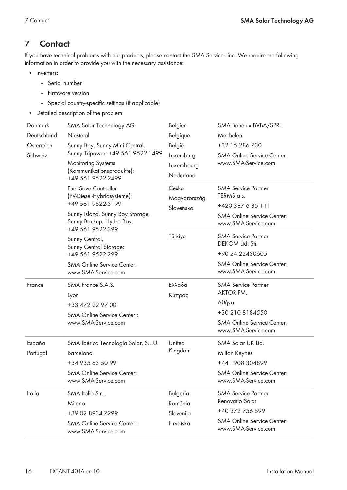# **7 Contact**

If you have technical problems with our products, please contact the SMA Service Line. We require the following information in order to provide you with the necessary assistance:

- Inverters:
	- Serial number
	- Firmware version
	- Special country-specific settings (if applicable)
- Detailed description of the problem

| Danmark     | SMA Solar Technology AG                                                          | Belgien               | SMA Benelux BVBA/SPRL                                    |
|-------------|----------------------------------------------------------------------------------|-----------------------|----------------------------------------------------------|
| Deutschland | Niestetal                                                                        | Belgique              | Mechelen                                                 |
| Österreich  | Sunny Boy, Sunny Mini Central,<br>Sunny Tripower: +49 561 9522-1499              | België<br>Luxemburg   | +32 15 286 730                                           |
| Schweiz     |                                                                                  |                       | <b>SMA Online Service Center:</b><br>www.SMA-Service.com |
|             | <b>Monitoring Systems</b><br>(Kommunikationsprodukte):<br>+49 561 9522-2499      | Luxembourg            |                                                          |
|             |                                                                                  | Nederland             |                                                          |
|             | <b>Fuel Save Controller</b><br>(PV-Diesel-Hybridsysteme):                        | Česko<br>Magyarország | <b>SMA Service Partner</b>                               |
|             |                                                                                  |                       | TERMS a.s.                                               |
|             | +49 561 9522-3199                                                                | Slovensko             | +420 387 6 85 111                                        |
|             | Sunny Island, Sunny Boy Storage,<br>Sunny Backup, Hydro Boy:<br>+49 561 9522-399 |                       | <b>SMA Online Service Center:</b><br>www.SMA-Service.com |
|             | Sunny Central,                                                                   | Türkiye               | <b>SMA Service Partner</b>                               |
|             | Sunny Central Storage:                                                           |                       | DEKOM Ltd. Ști.                                          |
|             | +49 561 9522-299                                                                 |                       | +90 24 22430605                                          |
|             | <b>SMA Online Service Center:</b><br>www.SMA-Service.com                         |                       | <b>SMA Online Service Center:</b><br>www.SMA-Service.com |
|             |                                                                                  |                       |                                                          |
| France      | SMA France S.A.S.                                                                | Ελλάδα                | <b>SMA Service Partner</b>                               |
|             | Lyon                                                                             | Κύπρος                | <b>AKTOR FM.</b>                                         |
|             | +33 472 22 97 00                                                                 |                       | Αθήνα                                                    |
|             | SMA Online Service Center:                                                       |                       | +30 210 8184550                                          |
|             | www.SMA-Service.com                                                              |                       | <b>SMA Online Service Center:</b><br>www.SMA-Service.com |
| España      | SMA Ibérica Tecnología Solar, S.L.U.                                             | United                | SMA Solar UK Ltd.                                        |
| Portugal    | Barcelona                                                                        | Kingdom               | Milton Keynes                                            |
|             | +34 935 63 50 99                                                                 |                       | +44 1908 304899                                          |
|             | <b>SMA Online Service Center:</b><br>www.SMA-Service.com                         |                       | <b>SMA Online Service Center:</b><br>www.SMA-Service.com |
| Italia      | SMA Italia S.r.l.                                                                | Bulgaria              | <b>SMA Service Partner</b>                               |
|             | Milano                                                                           | România               | Renovatio Solar                                          |
|             | +39 02 8934-7299                                                                 | Slovenija             | +40 372 756 599<br><b>SMA Online Service Center:</b>     |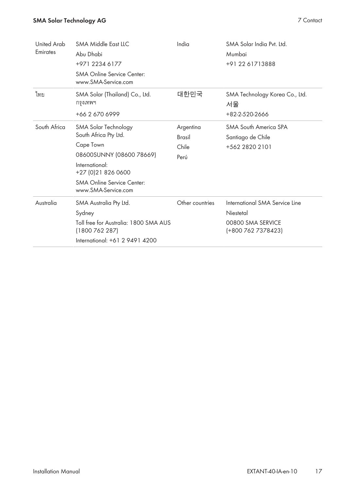## **SMA Solar Technology AG** 7 Contact

| United Arab<br>Emirates | <b>SMA Middle East LLC</b><br>Abu Dhabi<br>+971 2234 6177<br><b>SMA Online Service Center:</b><br>www.SMA-Service.com                                                                       | India                                       | SMA Solar India Pvt. Ltd.<br>Mumbai<br>+91 22 61713888                                 |
|-------------------------|---------------------------------------------------------------------------------------------------------------------------------------------------------------------------------------------|---------------------------------------------|----------------------------------------------------------------------------------------|
| ไทย                     | SMA Solar (Thailand) Co., Ltd.<br>กรุงเทพฯ<br>+66 2 670 6999                                                                                                                                | 대한민국                                        | SMA Technology Korea Co., Ltd.<br>서울<br>+82-2-520-2666                                 |
| South Africa            | SMA Solar Technology<br>South Africa Pty Ltd.<br>Cape Town<br>08600SUNNY (08600 78669)<br>International:<br>+27 (0) 21 826 0600<br><b>SMA Online Service Center:</b><br>www.SMA-Service.com | Argentina<br><b>Brasil</b><br>Chile<br>Perú | <b>SMA South America SPA</b><br>Santiago de Chile<br>+562 2820 2101                    |
| Australia               | SMA Australia Pty Ltd.<br>Sydney<br>Toll free for Australia: 1800 SMA AUS<br>(1800 762 287)<br>International: +61 2 9491 4200                                                               | Other countries                             | International SMA Service Line<br>Niestetal<br>00800 SMA SERVICE<br>(+800 762 7378423) |